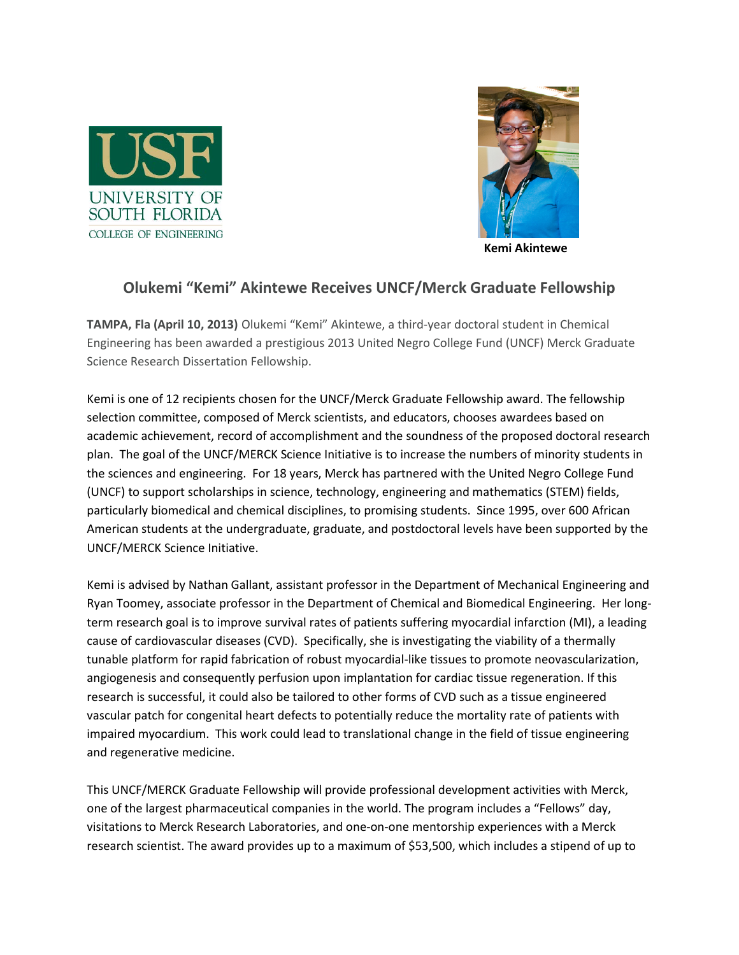



 **Kemi Akintewe**

## **Olukemi "Kemi" Akintewe Receives UNCF/Merck Graduate Fellowship**

**TAMPA, Fla (April 10, 2013)** Olukemi "Kemi" Akintewe, a third-year doctoral student in Chemical Engineering has been awarded a prestigious 2013 United Negro College Fund (UNCF) Merck Graduate Science Research Dissertation Fellowship.

Kemi is one of 12 recipients chosen for the UNCF/Merck Graduate Fellowship award. The fellowship selection committee, composed of Merck scientists, and educators, chooses awardees based on academic achievement, record of accomplishment and the soundness of the proposed doctoral research plan. The goal of the UNCF/MERCK Science Initiative is to increase the numbers of minority students in the sciences and engineering. For 18 years, Merck has partnered with the United Negro College Fund (UNCF) to support scholarships in science, technology, engineering and mathematics (STEM) fields, particularly biomedical and chemical disciplines, to promising students. Since 1995, over 600 African American students at the undergraduate, graduate, and postdoctoral levels have been supported by the UNCF/MERCK Science Initiative.

Kemi is advised by Nathan Gallant, assistant professor in the Department of Mechanical Engineering and Ryan Toomey, associate professor in the Department of Chemical and Biomedical Engineering. Her longterm research goal is to improve survival rates of patients suffering myocardial infarction (MI), a leading cause of cardiovascular diseases (CVD). Specifically, she is investigating the viability of a thermally tunable platform for rapid fabrication of robust myocardial-like tissues to promote neovascularization, angiogenesis and consequently perfusion upon implantation for cardiac tissue regeneration. If this research is successful, it could also be tailored to other forms of CVD such as a tissue engineered vascular patch for congenital heart defects to potentially reduce the mortality rate of patients with impaired myocardium. This work could lead to translational change in the field of tissue engineering and regenerative medicine.

This UNCF/MERCK Graduate Fellowship will provide professional development activities with Merck, one of the largest pharmaceutical companies in the world. The program includes a "Fellows" day, visitations to Merck Research Laboratories, and one-on-one mentorship experiences with a Merck research scientist. The award provides up to a maximum of \$53,500, which includes a stipend of up to